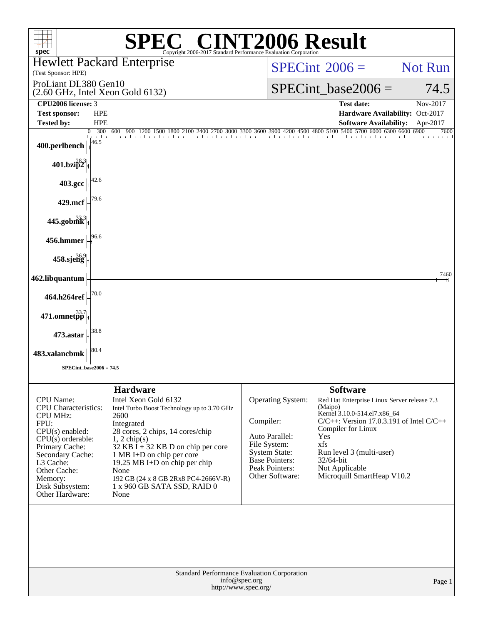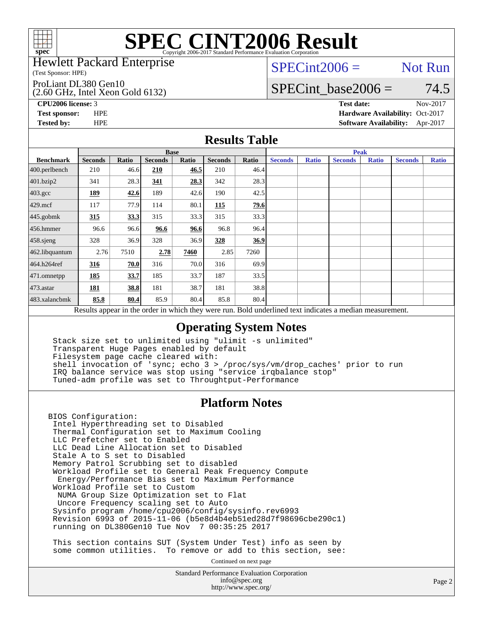

#### Hewlett Packard Enterprise

(Test Sponsor: HPE)

#### ProLiant DL380 Gen10

(2.60 GHz, Intel Xeon Gold 6132)

 $SPECint2006 =$  Not Run

## SPECint base2006 =  $74.5$

**[CPU2006 license:](http://www.spec.org/auto/cpu2006/Docs/result-fields.html#CPU2006license)** 3 **[Test date:](http://www.spec.org/auto/cpu2006/Docs/result-fields.html#Testdate)** Nov-2017 **[Test sponsor:](http://www.spec.org/auto/cpu2006/Docs/result-fields.html#Testsponsor)** HPE **[Hardware Availability:](http://www.spec.org/auto/cpu2006/Docs/result-fields.html#HardwareAvailability)** Oct-2017 **[Tested by:](http://www.spec.org/auto/cpu2006/Docs/result-fields.html#Testedby)** HPE **[Software Availability:](http://www.spec.org/auto/cpu2006/Docs/result-fields.html#SoftwareAvailability)** Apr-2017

### **[Results Table](http://www.spec.org/auto/cpu2006/Docs/result-fields.html#ResultsTable)**

|                                                                                                          | <b>Base</b>    |              |                |       |                |       | <b>Peak</b>    |              |                |              |                |              |
|----------------------------------------------------------------------------------------------------------|----------------|--------------|----------------|-------|----------------|-------|----------------|--------------|----------------|--------------|----------------|--------------|
| <b>Benchmark</b>                                                                                         | <b>Seconds</b> | <b>Ratio</b> | <b>Seconds</b> | Ratio | <b>Seconds</b> | Ratio | <b>Seconds</b> | <b>Ratio</b> | <b>Seconds</b> | <b>Ratio</b> | <b>Seconds</b> | <b>Ratio</b> |
| 400.perlbench                                                                                            | 210            | 46.6         | 210            | 46.5  | 210            | 46.4  |                |              |                |              |                |              |
| 401.bzip2                                                                                                | 341            | 28.3         | 341            | 28.3  | 342            | 28.3  |                |              |                |              |                |              |
| $403.\text{gcc}$                                                                                         | 189            | 42.6         | 189            | 42.6  | 190            | 42.5  |                |              |                |              |                |              |
| $429$ .mcf                                                                                               | 117            | 77.9         | 114            | 80.1  | <u>115</u>     | 79.6  |                |              |                |              |                |              |
| $445$ .gobmk                                                                                             | 315            | 33.3         | 315            | 33.3  | 315            | 33.3  |                |              |                |              |                |              |
| $456.$ hmmer                                                                                             | 96.6           | 96.6         | 96.6           | 96.6  | 96.8           | 96.4  |                |              |                |              |                |              |
| $458$ .sjeng                                                                                             | 328            | 36.9         | 328            | 36.9  | 328            | 36.9  |                |              |                |              |                |              |
| 462.libquantum                                                                                           | 2.76           | 7510         | 2.78           | 7460  | 2.85           | 7260  |                |              |                |              |                |              |
| 464.h264ref                                                                                              | 316            | 70.0         | 316            | 70.0  | 316            | 69.9  |                |              |                |              |                |              |
| 471.omnetpp                                                                                              | 185            | 33.7         | 185            | 33.7  | 187            | 33.5  |                |              |                |              |                |              |
| $473$ . astar                                                                                            | 181            | 38.8         | 181            | 38.7  | 181            | 38.8  |                |              |                |              |                |              |
| 483.xalancbmk                                                                                            | 85.8           | 80.4         | 85.9           | 80.4  | 85.8           | 80.4  |                |              |                |              |                |              |
| Results appear in the order in which they were run. Bold underlined text indicates a median measurement. |                |              |                |       |                |       |                |              |                |              |                |              |

### **[Operating System Notes](http://www.spec.org/auto/cpu2006/Docs/result-fields.html#OperatingSystemNotes)**

 Stack size set to unlimited using "ulimit -s unlimited" Transparent Huge Pages enabled by default Filesystem page cache cleared with: shell invocation of 'sync; echo 3 > /proc/sys/vm/drop\_caches' prior to run IRQ balance service was stop using "service irqbalance stop" Tuned-adm profile was set to Throughtput-Performance

### **[Platform Notes](http://www.spec.org/auto/cpu2006/Docs/result-fields.html#PlatformNotes)**

BIOS Configuration: Intel Hyperthreading set to Disabled Thermal Configuration set to Maximum Cooling LLC Prefetcher set to Enabled LLC Dead Line Allocation set to Disabled Stale A to S set to Disabled Memory Patrol Scrubbing set to disabled Workload Profile set to General Peak Frequency Compute Energy/Performance Bias set to Maximum Performance Workload Profile set to Custom NUMA Group Size Optimization set to Flat Uncore Frequency scaling set to Auto Sysinfo program /home/cpu2006/config/sysinfo.rev6993 Revision 6993 of 2015-11-06 (b5e8d4b4eb51ed28d7f98696cbe290c1) running on DL380Gen10 Tue Nov 7 00:35:25 2017

 This section contains SUT (System Under Test) info as seen by some common utilities. To remove or add to this section, see:

Continued on next page

Standard Performance Evaluation Corporation [info@spec.org](mailto:info@spec.org) <http://www.spec.org/>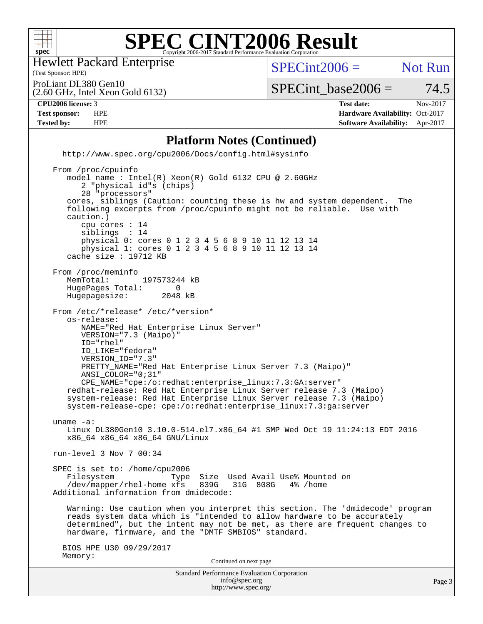

Hewlett Packard Enterprise

(Test Sponsor: HPE)

 $SPECint2006 =$  Not Run

(2.60 GHz, Intel Xeon Gold 6132) ProLiant DL380 Gen10

 $SPECTnt\_base2006 = 74.5$ 

#### **[CPU2006 license:](http://www.spec.org/auto/cpu2006/Docs/result-fields.html#CPU2006license)** 3 **[Test date:](http://www.spec.org/auto/cpu2006/Docs/result-fields.html#Testdate)** Nov-2017

**[Test sponsor:](http://www.spec.org/auto/cpu2006/Docs/result-fields.html#Testsponsor)** HPE **[Hardware Availability:](http://www.spec.org/auto/cpu2006/Docs/result-fields.html#HardwareAvailability)** Oct-2017 **[Tested by:](http://www.spec.org/auto/cpu2006/Docs/result-fields.html#Testedby)** HPE **[Software Availability:](http://www.spec.org/auto/cpu2006/Docs/result-fields.html#SoftwareAvailability)** Apr-2017

#### **[Platform Notes \(Continued\)](http://www.spec.org/auto/cpu2006/Docs/result-fields.html#PlatformNotes)**

 <http://www.spec.org/cpu2006/Docs/config.html#sysinfo> From /proc/cpuinfo model name : Intel(R) Xeon(R) Gold 6132 CPU @ 2.60GHz 2 "physical id"s (chips) 28 "processors" cores, siblings (Caution: counting these is hw and system dependent. The following excerpts from /proc/cpuinfo might not be reliable. Use with caution.) cpu cores : 14 siblings : 14 physical 0: cores 0 1 2 3 4 5 6 8 9 10 11 12 13 14 physical 1: cores 0 1 2 3 4 5 6 8 9 10 11 12 13 14 cache size : 19712 KB From /proc/meminfo<br>MemTotal: 197573244 kB HugePages\_Total: 0<br>Hugepagesize: 2048 kB Hugepagesize: From /etc/\*release\* /etc/\*version\* os-release: NAME="Red Hat Enterprise Linux Server" VERSION="7.3 (Maipo)" ID="rhel" ID\_LIKE="fedora" VERSION\_ID="7.3" PRETTY\_NAME="Red Hat Enterprise Linux Server 7.3 (Maipo)" ANSI\_COLOR="0;31" CPE\_NAME="cpe:/o:redhat:enterprise\_linux:7.3:GA:server" redhat-release: Red Hat Enterprise Linux Server release 7.3 (Maipo) system-release: Red Hat Enterprise Linux Server release 7.3 (Maipo) system-release-cpe: cpe:/o:redhat:enterprise\_linux:7.3:ga:server uname -a: Linux DL380Gen10 3.10.0-514.el7.x86\_64 #1 SMP Wed Oct 19 11:24:13 EDT 2016 x86\_64 x86\_64 x86\_64 GNU/Linux run-level 3 Nov 7 00:34 SPEC is set to: /home/cpu2006 Filesystem Type Size Used Avail Use% Mounted on<br>/dev/mapper/rhel-home xfs 839G 31G 808G 4% /home /dev/mapper/rhel-home xfs 839G Additional information from dmidecode: Warning: Use caution when you interpret this section. The 'dmidecode' program reads system data which is "intended to allow hardware to be accurately determined", but the intent may not be met, as there are frequent changes to hardware, firmware, and the "DMTF SMBIOS" standard. BIOS HPE U30 09/29/2017 Memory: Continued on next page

> Standard Performance Evaluation Corporation [info@spec.org](mailto:info@spec.org) <http://www.spec.org/>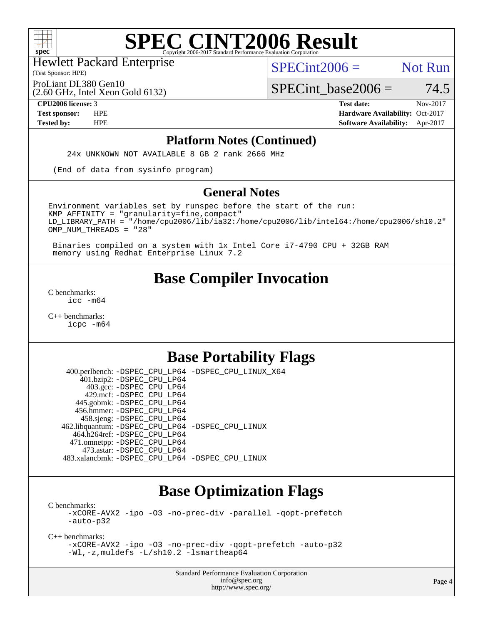

(Test Sponsor: HPE) Hewlett Packard Enterprise

 $SPECint2006 =$  Not Run

ProLiant DL380 Gen10

(2.60 GHz, Intel Xeon Gold 6132)

 $SPECTnt\_base2006 = 74.5$ **[CPU2006 license:](http://www.spec.org/auto/cpu2006/Docs/result-fields.html#CPU2006license)** 3 **[Test date:](http://www.spec.org/auto/cpu2006/Docs/result-fields.html#Testdate)** Nov-2017

**[Test sponsor:](http://www.spec.org/auto/cpu2006/Docs/result-fields.html#Testsponsor)** HPE **[Hardware Availability:](http://www.spec.org/auto/cpu2006/Docs/result-fields.html#HardwareAvailability)** Oct-2017 **[Tested by:](http://www.spec.org/auto/cpu2006/Docs/result-fields.html#Testedby)** HPE **[Software Availability:](http://www.spec.org/auto/cpu2006/Docs/result-fields.html#SoftwareAvailability)** Apr-2017

#### **[Platform Notes \(Continued\)](http://www.spec.org/auto/cpu2006/Docs/result-fields.html#PlatformNotes)**

24x UNKNOWN NOT AVAILABLE 8 GB 2 rank 2666 MHz

(End of data from sysinfo program)

#### **[General Notes](http://www.spec.org/auto/cpu2006/Docs/result-fields.html#GeneralNotes)**

Environment variables set by runspec before the start of the run:  $KMP$  AFFINITY = "granularity=fine, compact" LD\_LIBRARY\_PATH = "/home/cpu2006/lib/ia32:/home/cpu2006/lib/intel64:/home/cpu2006/sh10.2" OMP\_NUM\_THREADS = "28"

 Binaries compiled on a system with 1x Intel Core i7-4790 CPU + 32GB RAM memory using Redhat Enterprise Linux 7.2

# **[Base Compiler Invocation](http://www.spec.org/auto/cpu2006/Docs/result-fields.html#BaseCompilerInvocation)**

[C benchmarks](http://www.spec.org/auto/cpu2006/Docs/result-fields.html#Cbenchmarks): [icc -m64](http://www.spec.org/cpu2006/results/res2017q4/cpu2006-20171114-50650.flags.html#user_CCbase_intel_icc_64bit_bda6cc9af1fdbb0edc3795bac97ada53)

[C++ benchmarks:](http://www.spec.org/auto/cpu2006/Docs/result-fields.html#CXXbenchmarks) [icpc -m64](http://www.spec.org/cpu2006/results/res2017q4/cpu2006-20171114-50650.flags.html#user_CXXbase_intel_icpc_64bit_fc66a5337ce925472a5c54ad6a0de310)

# **[Base Portability Flags](http://www.spec.org/auto/cpu2006/Docs/result-fields.html#BasePortabilityFlags)**

 400.perlbench: [-DSPEC\\_CPU\\_LP64](http://www.spec.org/cpu2006/results/res2017q4/cpu2006-20171114-50650.flags.html#b400.perlbench_basePORTABILITY_DSPEC_CPU_LP64) [-DSPEC\\_CPU\\_LINUX\\_X64](http://www.spec.org/cpu2006/results/res2017q4/cpu2006-20171114-50650.flags.html#b400.perlbench_baseCPORTABILITY_DSPEC_CPU_LINUX_X64) 401.bzip2: [-DSPEC\\_CPU\\_LP64](http://www.spec.org/cpu2006/results/res2017q4/cpu2006-20171114-50650.flags.html#suite_basePORTABILITY401_bzip2_DSPEC_CPU_LP64) 403.gcc: [-DSPEC\\_CPU\\_LP64](http://www.spec.org/cpu2006/results/res2017q4/cpu2006-20171114-50650.flags.html#suite_basePORTABILITY403_gcc_DSPEC_CPU_LP64) 429.mcf: [-DSPEC\\_CPU\\_LP64](http://www.spec.org/cpu2006/results/res2017q4/cpu2006-20171114-50650.flags.html#suite_basePORTABILITY429_mcf_DSPEC_CPU_LP64) 445.gobmk: [-DSPEC\\_CPU\\_LP64](http://www.spec.org/cpu2006/results/res2017q4/cpu2006-20171114-50650.flags.html#suite_basePORTABILITY445_gobmk_DSPEC_CPU_LP64) 456.hmmer: [-DSPEC\\_CPU\\_LP64](http://www.spec.org/cpu2006/results/res2017q4/cpu2006-20171114-50650.flags.html#suite_basePORTABILITY456_hmmer_DSPEC_CPU_LP64) 458.sjeng: [-DSPEC\\_CPU\\_LP64](http://www.spec.org/cpu2006/results/res2017q4/cpu2006-20171114-50650.flags.html#suite_basePORTABILITY458_sjeng_DSPEC_CPU_LP64) 462.libquantum: [-DSPEC\\_CPU\\_LP64](http://www.spec.org/cpu2006/results/res2017q4/cpu2006-20171114-50650.flags.html#suite_basePORTABILITY462_libquantum_DSPEC_CPU_LP64) [-DSPEC\\_CPU\\_LINUX](http://www.spec.org/cpu2006/results/res2017q4/cpu2006-20171114-50650.flags.html#b462.libquantum_baseCPORTABILITY_DSPEC_CPU_LINUX) 464.h264ref: [-DSPEC\\_CPU\\_LP64](http://www.spec.org/cpu2006/results/res2017q4/cpu2006-20171114-50650.flags.html#suite_basePORTABILITY464_h264ref_DSPEC_CPU_LP64) 471.omnetpp: [-DSPEC\\_CPU\\_LP64](http://www.spec.org/cpu2006/results/res2017q4/cpu2006-20171114-50650.flags.html#suite_basePORTABILITY471_omnetpp_DSPEC_CPU_LP64) 473.astar: [-DSPEC\\_CPU\\_LP64](http://www.spec.org/cpu2006/results/res2017q4/cpu2006-20171114-50650.flags.html#suite_basePORTABILITY473_astar_DSPEC_CPU_LP64) 483.xalancbmk: [-DSPEC\\_CPU\\_LP64](http://www.spec.org/cpu2006/results/res2017q4/cpu2006-20171114-50650.flags.html#suite_basePORTABILITY483_xalancbmk_DSPEC_CPU_LP64) [-DSPEC\\_CPU\\_LINUX](http://www.spec.org/cpu2006/results/res2017q4/cpu2006-20171114-50650.flags.html#b483.xalancbmk_baseCXXPORTABILITY_DSPEC_CPU_LINUX)

## **[Base Optimization Flags](http://www.spec.org/auto/cpu2006/Docs/result-fields.html#BaseOptimizationFlags)**

[C benchmarks](http://www.spec.org/auto/cpu2006/Docs/result-fields.html#Cbenchmarks): [-xCORE-AVX2](http://www.spec.org/cpu2006/results/res2017q4/cpu2006-20171114-50650.flags.html#user_CCbase_f-xCORE-AVX2) [-ipo](http://www.spec.org/cpu2006/results/res2017q4/cpu2006-20171114-50650.flags.html#user_CCbase_f-ipo) [-O3](http://www.spec.org/cpu2006/results/res2017q4/cpu2006-20171114-50650.flags.html#user_CCbase_f-O3) [-no-prec-div](http://www.spec.org/cpu2006/results/res2017q4/cpu2006-20171114-50650.flags.html#user_CCbase_f-no-prec-div) [-parallel](http://www.spec.org/cpu2006/results/res2017q4/cpu2006-20171114-50650.flags.html#user_CCbase_f-parallel) [-qopt-prefetch](http://www.spec.org/cpu2006/results/res2017q4/cpu2006-20171114-50650.flags.html#user_CCbase_f-qopt-prefetch) [-auto-p32](http://www.spec.org/cpu2006/results/res2017q4/cpu2006-20171114-50650.flags.html#user_CCbase_f-auto-p32)

[C++ benchmarks:](http://www.spec.org/auto/cpu2006/Docs/result-fields.html#CXXbenchmarks)

[-xCORE-AVX2](http://www.spec.org/cpu2006/results/res2017q4/cpu2006-20171114-50650.flags.html#user_CXXbase_f-xCORE-AVX2) [-ipo](http://www.spec.org/cpu2006/results/res2017q4/cpu2006-20171114-50650.flags.html#user_CXXbase_f-ipo) [-O3](http://www.spec.org/cpu2006/results/res2017q4/cpu2006-20171114-50650.flags.html#user_CXXbase_f-O3) [-no-prec-div](http://www.spec.org/cpu2006/results/res2017q4/cpu2006-20171114-50650.flags.html#user_CXXbase_f-no-prec-div) [-qopt-prefetch](http://www.spec.org/cpu2006/results/res2017q4/cpu2006-20171114-50650.flags.html#user_CXXbase_f-qopt-prefetch) [-auto-p32](http://www.spec.org/cpu2006/results/res2017q4/cpu2006-20171114-50650.flags.html#user_CXXbase_f-auto-p32) [-Wl,-z,muldefs](http://www.spec.org/cpu2006/results/res2017q4/cpu2006-20171114-50650.flags.html#user_CXXbase_link_force_multiple1_74079c344b956b9658436fd1b6dd3a8a) [-L/sh10.2 -lsmartheap64](http://www.spec.org/cpu2006/results/res2017q4/cpu2006-20171114-50650.flags.html#user_CXXbase_SmartHeap64_63911d860fc08c15fa1d5bf319b9d8d5)

> Standard Performance Evaluation Corporation [info@spec.org](mailto:info@spec.org) <http://www.spec.org/>